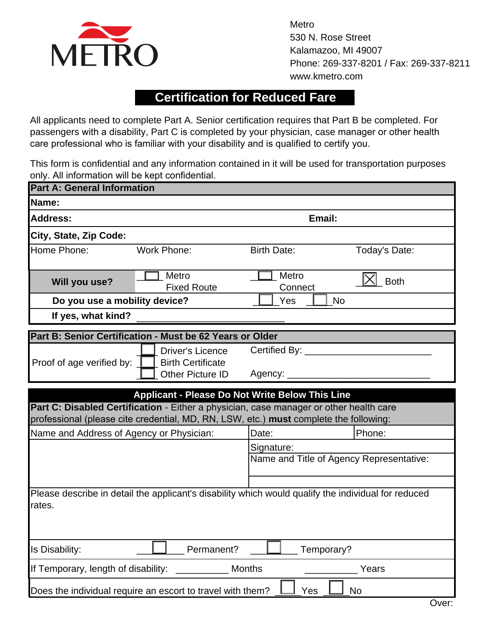

Metro 530 N. Rose Street Kalamazoo, MI 49007 Phone: 269-337-8201 / Fax: 269-337-8211 www.kmetro.com

## **Certification for Reduced Fare**

All applicants need to complete Part A. Senior certification requires that Part B be completed. For passengers with a disability, Part C is completed by your physician, case manager or other health care professional who is familiar with your disability and is qualified to certify you.

This form is confidential and any information contained in it will be used for transportation purposes only. All information will be kept confidential.

| <b>Part A: General Information</b>                                                                                                                                                                                                        |                                                     |                                          |               |
|-------------------------------------------------------------------------------------------------------------------------------------------------------------------------------------------------------------------------------------------|-----------------------------------------------------|------------------------------------------|---------------|
| Name:                                                                                                                                                                                                                                     |                                                     |                                          |               |
| <b>Address:</b>                                                                                                                                                                                                                           |                                                     | Email:                                   |               |
| City, State, Zip Code:                                                                                                                                                                                                                    |                                                     |                                          |               |
| Home Phone:                                                                                                                                                                                                                               | <b>Work Phone:</b>                                  | <b>Birth Date:</b>                       | Today's Date: |
| <b>Will you use?</b>                                                                                                                                                                                                                      | Metro<br><b>Fixed Route</b>                         | Metro<br>Connect                         | <b>Both</b>   |
| Do you use a mobility device?                                                                                                                                                                                                             |                                                     | Yes                                      | No            |
| If yes, what kind?                                                                                                                                                                                                                        |                                                     |                                          |               |
| Part B: Senior Certification - Must be 62 Years or Older                                                                                                                                                                                  |                                                     |                                          |               |
| Proof of age verified by:                                                                                                                                                                                                                 | <b>Driver's Licence</b><br><b>Birth Certificate</b> | Certified By: _____                      |               |
|                                                                                                                                                                                                                                           | <b>Other Picture ID</b>                             | Agency: ____                             |               |
|                                                                                                                                                                                                                                           |                                                     |                                          |               |
| <b>Applicant - Please Do Not Write Below This Line</b><br>Part C: Disabled Certification - Either a physician, case manager or other health care<br>professional (please cite credential, MD, RN, LSW, etc.) must complete the following: |                                                     |                                          |               |
| Name and Address of Agency or Physician:                                                                                                                                                                                                  |                                                     | Date:                                    | Phone:        |
|                                                                                                                                                                                                                                           |                                                     | Signature:                               |               |
|                                                                                                                                                                                                                                           |                                                     | Name and Title of Agency Representative: |               |
| Please describe in detail the applicant's disability which would qualify the individual for reduced<br>rates.                                                                                                                             |                                                     |                                          |               |
|                                                                                                                                                                                                                                           |                                                     |                                          |               |
| Is Disability:<br>Permanent?<br>Temporary?                                                                                                                                                                                                |                                                     |                                          |               |
| If Temporary, length of disability:<br><b>Months</b><br>Years                                                                                                                                                                             |                                                     |                                          |               |
| Does the individual require an escort to travel with them?<br>Yes<br>No                                                                                                                                                                   |                                                     |                                          |               |